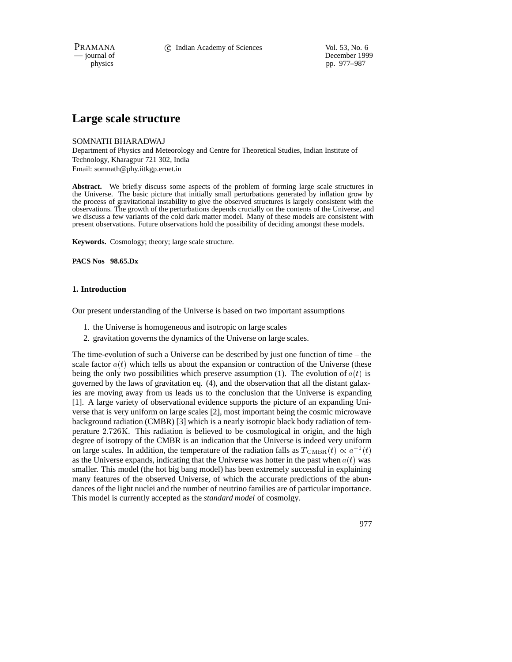PRAMANA 
<sup>C</sup> Indian Academy of Sciences 
<sup>Vol. 53, No. 6<br>
— journal of **C** Indian Academy of Sciences
<sup>Vol. 53, No. 6</sup></sup>

December 1999 physics pp. 977–987

# **Large scale structure**

# SOMNATH BHARADWAJ

Department of Physics and Meteorology and Centre for Theoretical Studies, Indian Institute of Technology, Kharagpur 721 302, India Email: somnath@phy.iitkgp.ernet.in

**Abstract.** We briefly discuss some aspects of the problem of forming large scale structures in the Universe. The basic picture that initially small perturbations generated by inflation grow by the process of gravitational instability to give the observed structures is largely consistent with the observations. The growth of the perturbations depends crucially on the contents of the Universe, and we discuss a few variants of the cold dark matter model. Many of these models are consistent with present observations. Future observations hold the possibility of deciding amongst these models.

**Keywords.** Cosmology; theory; large scale structure.

**PACS Nos 98.65.Dx**

# **1. Introduction**

Our present understanding of the Universe is based on two important assumptions

- 1. the Universe is homogeneous and isotropic on large scales
- 2. gravitation governs the dynamics of the Universe on large scales.

The time-evolution of such a Universe can be described by just one function of time – the scale factor  $a(t)$  which tells us about the expansion or contraction of the Universe (these being the only two possibilities which preserve assumption (1). The evolution of  $a(t)$  is governed by the laws of gravitation eq. (4), and the observation that all the distant galaxies are moving away from us leads us to the conclusion that the Universe is expanding [1]. A large variety of observational evidence supports the picture of an expanding Universe that is very uniform on large scales [2], most important being the cosmic microwave background radiation (CMBR) [3] which is a nearly isotropic black body radiation of temperature 2:726K. This radiation is believed to be cosmological in origin, and the high degree of isotropy of the CMBR is an indication that the Universe is indeed very uniform on large scales. In addition, the temperature of the radiation falls as  $T_{\text{CMBR}}(t) \propto a^{-1}(t)$ as the Universe expands, indicating that the Universe was hotter in the past when  $a(t)$  was smaller. This model (the hot big bang model) has been extremely successful in explaining many features of the observed Universe, of which the accurate predictions of the abundances of the light nuclei and the number of neutrino families are of particular importance. This model is currently accepted as the *standard model* of cosmolgy.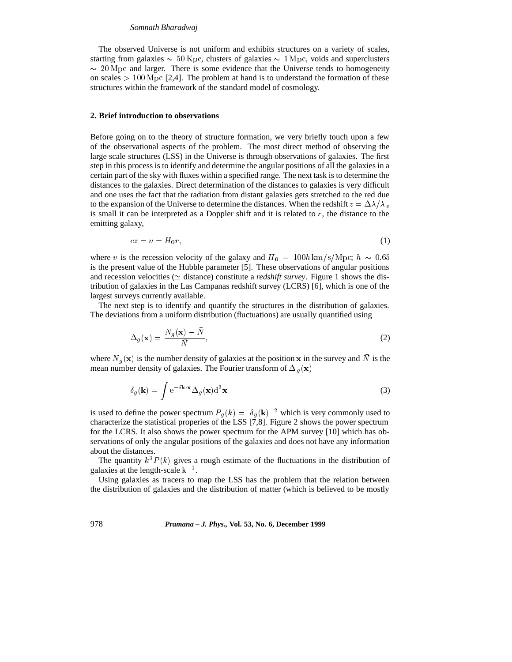The observed Universe is not uniform and exhibits structures on a variety of scales, starting from galaxies  $\sim 50$  Kpc, clusters of galaxies  $\sim 1$  Mpc, voids and superclusters  $\sim$  20 Mpc and larger. There is some evidence that the Universe tends to homogeneity on scales  $> 100$  Mpc [2,4]. The problem at hand is to understand the formation of these structures within the framework of the standard model of cosmology.

#### **2. Brief introduction to observations**

Before going on to the theory of structure formation, we very briefly touch upon a few of the observational aspects of the problem. The most direct method of observing the large scale structures (LSS) in the Universe is through observations of galaxies. The first step in this process is to identify and determine the angular positions of all the galaxies in a certain part of the sky with fluxes within a specified range. The next task is to determine the distances to the galaxies. Direct determination of the distances to galaxies is very difficult and one uses the fact that the radiation from distant galaxies gets stretched to the red due to the expansion of the Universe to determine the distances. When the redshift  $z = \Delta \lambda / \lambda_e$ is small it can be interpreted as a Doppler shift and it is related to  $r$ , the distance to the emitting galaxy,

$$
cz = v = H_0 r,\tag{1}
$$

where v is the recession velocity of the galaxy and  $H_0 = 100h \text{ km/s/Mpc}; h \sim 0.65$ is the present value of the Hubble parameter [5]. These observations of angular positions and recession velocities ( $\simeq$  distance) constitute a *redshift survey*. Figure 1 shows the distribution of galaxies in the Las Campanas redshift survey (LCRS) [6], which is one of the largest surveys currently available.

The next step is to identify and quantify the structures in the distribution of galaxies. The deviations from a uniform distribution (fluctuations) are usually quantified using

$$
\Delta_g(\mathbf{x}) = \frac{N_g(\mathbf{x}) - N}{\bar{N}},\tag{2}
$$

where  $N_g(\mathbf{x})$  is the number density of galaxies at the position x in the survey and N is the mean number density of galaxies. The Fourier transform of  $\Delta_g(\mathbf{x})$ 

$$
\delta_g(\mathbf{k}) = \int e^{-i\mathbf{k}\cdot\mathbf{x}} \Delta_g(\mathbf{x}) d^3 \mathbf{x}
$$
 (3)

is used to define the power spectrum  $P_q(k) = |\delta_q(\mathbf{k})|^2$  which is very commonly used to characterize the statistical properies of the LSS [7,8]. Figure 2 shows the power spectrum for the LCRS. It also shows the power spectrum for the APM survey [10] which has observations of only the angular positions of the galaxies and does not have any information about the distances.

The quantity  $k^3 P(k)$  gives a rough estimate of the fluctuations in the distribution of galaxies at the length-scale  $k^{-1}$ .

Using galaxies as tracers to map the LSS has the problem that the relation between the distribution of galaxies and the distribution of matter (which is believed to be mostly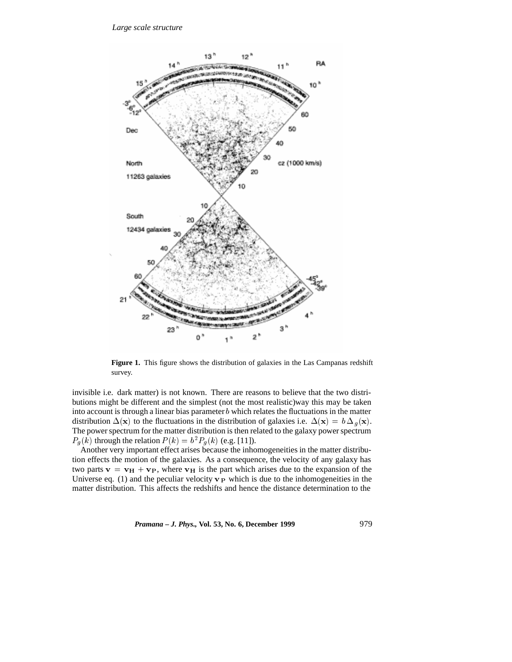

Figure 1. This figure shows the distribution of galaxies in the Las Campanas redshift survey.

invisible i.e. dark matter) is not known. There are reasons to believe that the two distributions might be different and the simplest (not the most realistic)way this may be taken into account is through a linear bias parameter b which relates the fluctuations in the matter distribution  $\Delta(\mathbf{x})$  to the fluctuations in the distribution of galaxies i.e.  $\Delta(\mathbf{x}) = b \Delta_q(\mathbf{x})$ . The power spectrum for the matter distribution is then related to the galaxy power spectrum  $P_g(k)$  through the relation  $P(k) = b^2 P_g(k)$  (e.g. [11]).

Another very important effect arises because the inhomogeneities in the matter distribution effects the motion of the galaxies. As a consequence, the velocity of any galaxy has two parts  $v = v_H + v_P$ , where  $v_H$  is the part which arises due to the expansion of the Universe eq. (1) and the peculiar velocity  $\mathbf{v}_P$  which is due to the inhomogeneities in the matter distribution. This affects the redshifts and hence the distance determination to the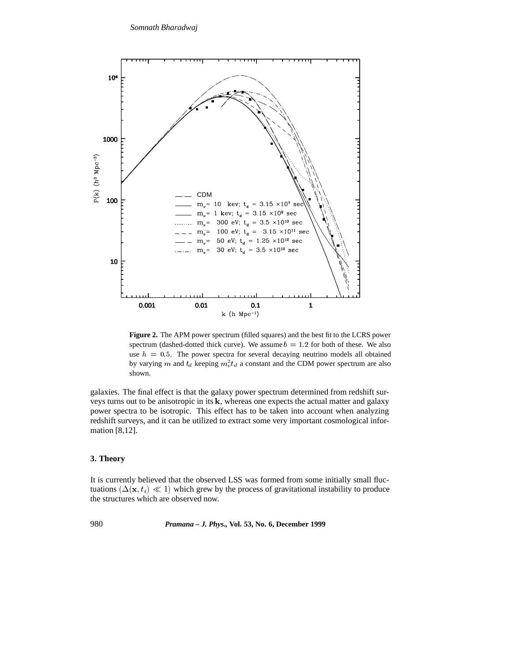

**Figure 2.** The APM power spectrum (filled squares) and the best fit to the LCRS power spectrum (dashed-dotted thick curve). We assume  $b = 1.2$  for both of these. We also use  $h = 0.5$ . The power spectra for several decaying neutrino models all obtained by varying m and  $t_d$  keeping  $m_\nu^2 t_d$  a constant and the CDM power spectrum are also shown.

galaxies. The final effect is that the galaxy power spectrum determined from redshift surveys turns out to be anisotropic in its <sup>k</sup>, whereas one expects the actual matter and galaxy power spectra to be isotropic. This effect has to be taken into account when analyzing redshift surveys, and it can be utilized to extract some very important cosmological information [8,12].

## **3. Theory**

It is currently believed that the observed LSS was formed from some initially small fluctuations  $(\Delta(\mathbf{x}, t_i) \ll 1)$  which grew by the process of gravitational instability to produce the structures which are observed now.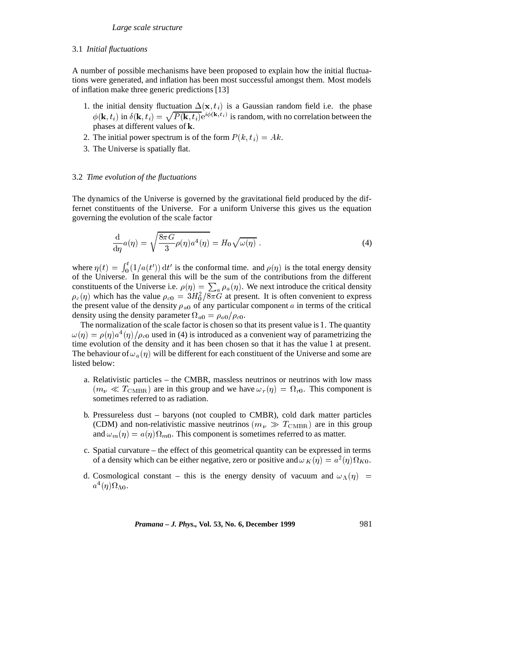#### 3.1 *Initial fluctuations*

A number of possible mechanisms have been proposed to explain how the initial fluctuations were generated, and inflation has been most successful amongst them. Most models of inflation make three generic predictions [13]

- 1. the initial density fluctuation  $\Delta(\mathbf{x}, t_i)$  is a Gaussian random field i.e. the phase  $\phi(\mathbf{k}, t_i)$  in  $\delta(\mathbf{k}, t_i) = \sqrt{P(\mathbf{k}, t_i)}e^{i\phi(\mathbf{k}, t_i)}$  is random, with no correlation between the phases at different values of <sup>k</sup>.
- 2. The initial power spectrum is of the form  $P(k, t_i) = Ak$ .
- 3. The Universe is spatially flat.

### 3.2 *Time evolution of the fluctuations*

The dynamics of the Universe is governed by the gravitational field produced by the differnet constituents of the Universe. For a uniform Universe this gives us the equation governing the evolution of the scale factor

$$
\frac{\mathrm{d}}{\mathrm{d}\eta}a(\eta) = \sqrt{\frac{8\pi G}{3}\rho(\eta)a^4(\eta)} = H_0\sqrt{\omega(\eta)}\ .
$$
 (4)

where  $\eta(t) = \int_0^t (1/a(t)) dt'$  is the conformal time. and  $\rho(\eta)$  is the total energy density <sup>0</sup> of the Universe. In general this will be the sum of the contributions from the different constituents of the Universe i.e.  $\rho(\eta) = \sum_a \rho_a(\eta)$ . We next introduce the critical density  $\rho_c(\eta)$  which has the value  $\rho_{c0} = 3H_0^2/8\pi G$  at present. It is often convenient to express the present value of the density  $\rho_{a0}$  of any particular component a in terms of the critical density using the density parameter  $\Omega_{a0} = \rho_{a0}/\rho_{c0}$ .

The normalization of the scale factor is chosen so that its present value is <sup>1</sup>. The quantity  $\omega(\eta) = \rho(\eta) a^4(\eta) / \rho_{c0}$  used in (4) is introduced as a convenient way of parametrizing the time evolution of the density and it has been chosen so that it has the value <sup>1</sup> at present. The behaviour of  $\omega_a(\eta)$  will be different for each constituent of the Universe and some are listed below:

- a. Relativistic particles the CMBR, massless neutrinos or neutrinos with low mass  $(m_\nu \ll T_{\rm CMBR})$  are in this group and we have  $\omega_r (\eta) = \Omega_{r0}$ . This component is sometimes referred to as radiation.
- b. Pressureless dust baryons (not coupled to CMBR), cold dark matter particles (CDM) and non-relativistic massive neutrinos ( $m_{\nu} \gg T_{\text{CMBR}}$ ) are in this group and  $\omega_m(\eta) = a(\eta)\Omega_{m0}$ . This component is sometimes referred to as matter.
- c. Spatial curvature the effect of this geometrical quantity can be expressed in terms of a density which can be either negative, zero or positive and  $\omega_K(\eta) = a^2(\eta) \Omega_{K0}$ .
- d. Cosmological constant this is the energy density of vacuum and  $\omega_{\Lambda}(\eta)$  =  $a^4(\eta)\Omega_{\Lambda 0}.$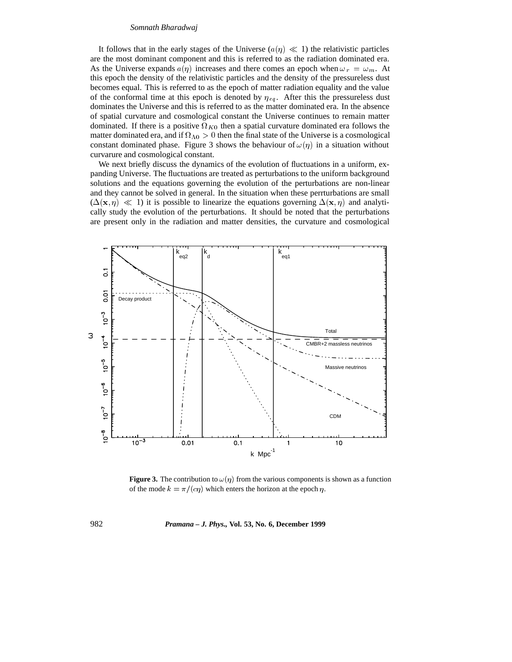It follows that in the early stages of the Universe  $(a(\eta) \ll 1)$  the relativistic particles are the most dominant component and this is referred to as the radiation dominated era. As the Universe expands  $a(\eta)$  increases and there comes an epoch when  $\omega_r = \omega_m$ . At this epoch the density of the relativistic particles and the density of the pressureless dust becomes equal. This is referred to as the epoch of matter radiation equality and the value of the conformal time at this epoch is denoted by  $\eta_{eq}$ . After this the pressureless dust dominates the Universe and this is referred to as the matter dominated era. In the absence of spatial curvature and cosmological constant the Universe continues to remain matter dominated. If there is a positive  $\Omega_{K0}$  then a spatial curvature dominated era follows the matter dominated era, and if  $\Omega_{\Lambda 0} > 0$  then the final state of the Universe is a cosmological constant dominated phase. Figure 3 shows the behaviour of  $\omega(\eta)$  in a situation without curvarure and cosmological constant.

We next briefly discuss the dynamics of the evolution of fluctuations in a uniform, expanding Universe. The fluctuations are treated as perturbations to the uniform background solutions and the equations governing the evolution of the perturbations are non-linear and they cannot be solved in general. In the situation when these perrturbations are small  $(\Delta(\mathbf{x}, \eta) \ll 1)$  it is possible to linearize the equations governing  $\Delta(\mathbf{x}, \eta)$  and analytically study the evolution of the perturbations. It should be noted that the perturbations are present only in the radiation and matter densities, the curvature and cosmological



**Figure 3.** The contribution to  $\omega(\eta)$  from the various components is shown as a function of the mode  $k = \pi/(c\eta)$  which enters the horizon at the epoch  $\eta$ .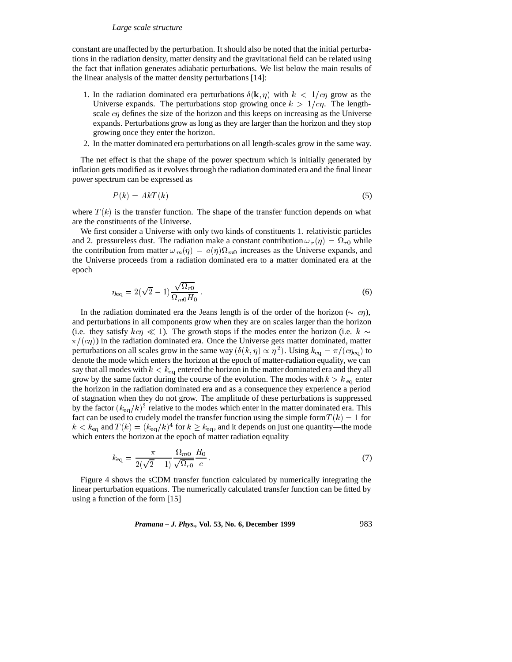constant are unaffected by the perturbation. It should also be noted that the initial perturbations in the radiation density, matter density and the gravitational field can be related using the fact that inflation generates adiabatic perturbations. We list below the main results of the linear analysis of the matter density perturbations [14]:

- 1. In the radiation dominated era perturbations  $\delta(\mathbf{k}, \eta)$  with  $k < 1/c\eta$  grow as the Universe expands. The perturbations stop growing once  $k > 1/c\eta$ . The lengthscale  $c\eta$  defines the size of the horizon and this keeps on increasing as the Universe expands. Perturbations grow as long as they are larger than the horizon and they stop growing once they enter the horizon.
- 2. In the matter dominated era perturbations on all length-scales grow in the same way.

The net effect is that the shape of the power spectrum which is initially generated by inflation gets modified as it evolves through the radiation dominated era and the final linear power spectrum can be expressed as

$$
P(k) = AkT(k) \tag{5}
$$

where  $T(k)$  is the transfer function. The shape of the transfer function depends on what are the constituents of the Universe.

We first consider a Universe with only two kinds of constituents 1. relativistic particles and 2. pressureless dust. The radiation make a constant contribution  $\omega_r(\eta) = \Omega_{r0}$  while the contribution from matter  $\omega_m(\eta) = a(\eta)\Omega_{m0}$  increases as the Universe expands, and the Universe proceeds from a radiation dominated era to a matter dominated era at the epoch

$$
\eta_{\text{eq}} = 2(\sqrt{2} - 1) \frac{\sqrt{\Omega_{r0}}}{\Omega_{m0} H_0}.
$$
\n(6)

In the radiation dominated era the Jeans length is of the order of the horizon ( $\sim c\eta$ ), and perturbations in all components grow when they are on scales larger than the horizon (i.e. they satisfy  $kcn \ll 1$ ). The growth stops if the modes enter the horizon (i.e.  $k \sim$  $\pi/(c\eta)$ ) in the radiation dominated era. Once the Universe gets matter dominated, matter perturbations on all scales grow in the same way  $(\delta(k, \eta) \propto \eta^2)$ . Using  $k_{\text{eq}} = \pi/(\epsilon \eta_{\text{eq}})$  to denote the mode which enters the horizon at the epoch of matter-radiation equality, we can say that all modes with  $k < k_{\text{eq}}$  entered the horizon in the matter dominated era and they all grow by the same factor during the course of the evolution. The modes with  $k > k_{\text{eq}}$  enter the horizon in the radiation dominated era and as a consequence they experience a period of stagnation when they do not grow. The amplitude of these perturbations is suppressed by the factor  $(k_{eq}/k)^2$  relative to the modes which enter in the matter dominated era. This fact can be used to crudely model the transfer function using the simple form  $T(k)=1$  for  $k < k_{eq}$  and  $T(k) = (k_{eq}/k)^4$  for  $k \geq k_{eq}$ , and it depends on just one quantity—the mode which enters the horizon at the epoch of matter radiation equality

$$
k_{\text{eq}} = \frac{\pi}{2(\sqrt{2} - 1)} \frac{\Omega_{m0}}{\sqrt{\Omega_{r0}}} \frac{H_0}{c} \,. \tag{7}
$$

Figure 4 shows the sCDM transfer function calculated by numerically integrating the linear perturbation equations. The numerically calculated transfer function can be fitted by using a function of the form [15]

*Pramana – J. Phys.,* **Vol. 53, No. 6, December 1999** 983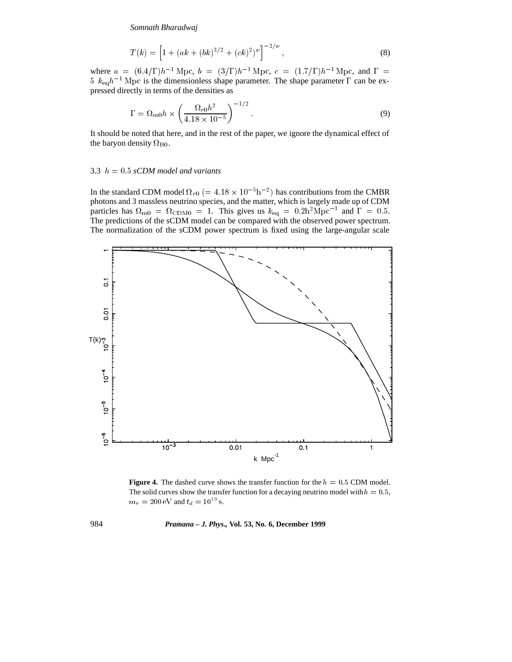$$
T(k) = \left[1 + (ak + (bk)^{3/2} + (ck)^2)^{\nu}\right]^{-2/\nu},
$$
\n(8)

where  $a = (6.4/\Gamma)h^{-1}$  Mpc,  $b = (3/\Gamma)h^{-1}$  Mpc,  $c = (1.7/\Gamma)h^{-1}$  Mpc, and  $\Gamma =$ 5  $k_{eq}h^{-1}$  Mpc is the dimensionless shape parameter. The shape parameter  $\Gamma$  can be expressed directly in terms of the densities as

$$
\Gamma = \Omega_{m0} h \times \left( \frac{\Omega_{r0} h^2}{4.18 \times 10^{-5}} \right)^{-1/2}.
$$
 (9)

It should be noted that here, and in the rest of the paper, we ignore the dynamical effect of the baryon density  $\Omega_{\rm B0}$ .

## 3.3 <sup>h</sup> = 0:5 *sCDM model and variants*

In the standard CDM model  $\Omega_{r0}$  (= 4.18  $\times$  10<sup>-5</sup>h<sup>-2</sup>) has contributions from the CMBR photons and 3 massless neutrino species, and the matter, which is largely made up of CDM particles has  $\Omega_{\text{m0}} = \Omega_{\text{CDM0}} = 1$ . This gives us  $k_{\text{eq}} = 0.2 \text{h}^2 \text{Mpc}^{-1}$  and  $\Gamma = 0.5$ . The predictions of the sCDM model can be compared with the observed power spectrum. The normalization of the sCDM power spectrum is fixed using the large-angular scale



**Figure 4.** The dashed curve shows the transfer function for the  $h = 0.5$  CDM model. The solid curves show the transfer function for a decaying neutrino model with  $h = 0.5$ ,  $m_{\nu} = 200 \text{ eV}$  and  $t_d = 10^{13} \text{ s.}$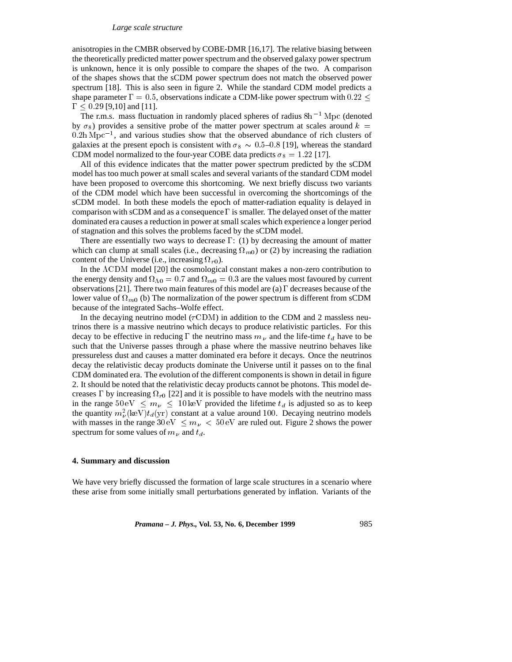anisotropies in the CMBR observed by COBE-DMR [16,17]. The relative biasing between the theoretically predicted matter power spectrum and the observed galaxy power spectrum is unknown, hence it is only possible to compare the shapes of the two. A comparison of the shapes shows that the sCDM power spectrum does not match the observed power spectrum [18]. This is also seen in figure 2. While the standard CDM model predicts a shape parameter  $\Gamma=0.5$ , observations indicate a CDM-like power spectrum with 0.22  $\leq$  $\Gamma$  < 0.29 [9,10] and [11].

The r.m.s. mass fluctuation in randomly placed spheres of radius  $8h^{-1}$  Mpc (denoted by  $\sigma_8$ ) provides a sensitive probe of the matter power spectrum at scales around  $k =$  $0.2h\,\mathrm{Mpc}^{-1}$ , and various studies show that the observed abundance of rich clusters of galaxies at the present epoch is consistent with  $\sigma_8 \sim 0.5$ –0.8 [19], whereas the standard CDM model normalized to the four-year COBE data predicts  $\sigma_8 = 1.22$  [17].

All of this evidence indicates that the matter power spectrum predicted by the sCDM model has too much power at small scales and several variants of the standard CDM model have been proposed to overcome this shortcoming. We next briefly discuss two variants of the CDM model which have been successful in overcoming the shortcomings of the sCDM model. In both these models the epoch of matter-radiation equality is delayed in comparison with sCDM and as a consequence  $\Gamma$  is smaller. The delayed onset of the matter dominated era causes a reduction in power at small scales which experience a longer period of stagnation and this solves the problems faced by the sCDM model.

There are essentially two ways to decrease  $\Gamma$ : (1) by decreasing the amount of matter which can clump at small scales (i.e., decreasing  $\Omega_{m0}$ ) or (2) by increasing the radiation content of the Universe (i.e., increasing  $\Omega_{r0}$ ).

In the  $\Lambda$ CDM model [20] the cosmological constant makes a non-zero contribution to the energy density and  $\Omega_{\Lambda0} = 0.7$  and  $\Omega_{m0} = 0.3$  are the values most favoured by current observations [21]. There two main features of this model are (a)  $\Gamma$  decreases because of the lower value of  $\Omega_{m0}$  (b) The normalization of the power spectrum is different from sCDM because of the integrated Sachs–Wolfe effect.

In the decaying neutrino model ( $\tau$ CDM) in addition to the CDM and 2 massless neutrinos there is a massive neutrino which decays to produce relativistic particles. For this decay to be effective in reducing  $\Gamma$  the neutrino mass  $m<sub>\nu</sub>$  and the life-time  $t<sub>d</sub>$  have to be such that the Universe passes through a phase where the massive neutrino behaves like pressureless dust and causes a matter dominated era before it decays. Once the neutrinos decay the relativistic decay products dominate the Universe until it passes on to the final CDM dominated era. The evolution of the different components is shown in detail in figure 2. It should be noted that the relativistic decay products cannot be photons. This model decreases  $\Gamma$  by increasing  $\Omega_{r0}$  [22] and it is possible to have models with the neutrino mass in the range  $50 \text{ eV} \le m_{\nu} \le 10 \text{ keV}$  provided the lifetime  $t_d$  is adjusted so as to keep the quantity  $m_{\nu}^{2}$ (keV) $t_{d}$ (yr) constant at a value around 100. Decaying neutrino models with masses in the range  $30 \text{ eV} \leq m_{\nu} < 50 \text{ eV}$  are ruled out. Figure 2 shows the power spectrum for some values of  $m_{\nu}$  and  $t_d$ .

# **4. Summary and discussion**

We have very briefly discussed the formation of large scale structures in a scenario where these arise from some initially small perturbations generated by inflation. Variants of the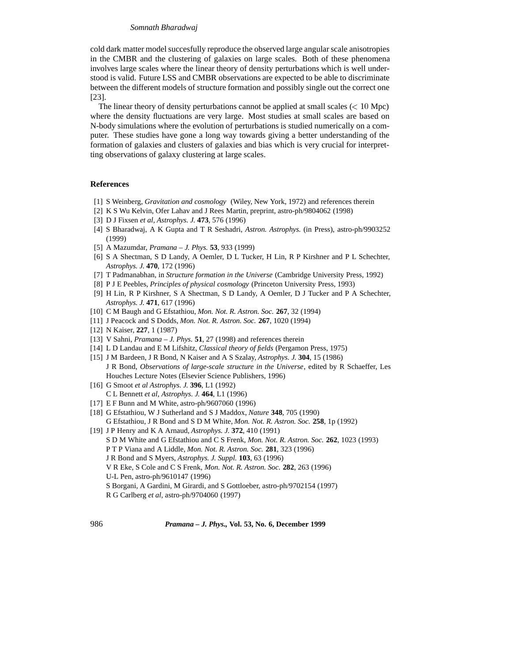cold dark matter model succesfully reproduce the observed large angular scale anisotropies in the CMBR and the clustering of galaxies on large scales. Both of these phenomena involves large scales where the linear theory of density perturbations which is well understood is valid. Future LSS and CMBR observations are expected to be able to discriminate between the different models of structure formation and possibly single out the correct one [23].

The linear theory of density perturbations cannot be applied at small scales ( $< 10$  Mpc) where the density fluctuations are very large. Most studies at small scales are based on N-body simulations where the evolution of perturbations is studied numerically on a computer. These studies have gone a long way towards giving a better understanding of the formation of galaxies and clusters of galaxies and bias which is very crucial for interpretting observations of galaxy clustering at large scales.

## **References**

- [1] S Weinberg, *Gravitation and cosmology* (Wiley, New York, 1972) and references therein
- [2] K S Wu Kelvin, Ofer Lahav and J Rees Martin, preprint, astro-ph/9804062 (1998)
- [3] D J Fixsen *et al, Astrophys. J.* **473**, 576 (1996)
- [4] S Bharadwaj, A K Gupta and T R Seshadri, *Astron. Astrophys.* (in Press), astro-ph/9903252 (1999)
- [5] A Mazumdar, *Pramana J. Phys.* **53**, 933 (1999)
- [6] S A Shectman, S D Landy, A Oemler, D L Tucker, H Lin, R P Kirshner and P L Schechter, *Astrophys. J.* **470**, 172 (1996)
- [7] T Padmanabhan, in *Structure formation in the Universe* (Cambridge University Press, 1992)
- [8] P J E Peebles, *Principles of physical cosmology* (Princeton University Press, 1993)
- [9] H Lin, R P Kirshner, S A Shectman, S D Landy, A Oemler, D J Tucker and P A Schechter, *Astrophys. J.* **471**, 617 (1996)
- [10] C M Baugh and G Efstathiou, *Mon. Not. R. Astron. Soc.* **267**, 32 (1994)
- [11] J Peacock and S Dodds, *Mon. Not. R. Astron. Soc.* **267**, 1020 (1994)
- [12] N Kaiser, **227**, 1 (1987)
- [13] V Sahni, *Pramana J. Phys.* **51**, 27 (1998) and references therein
- [14] L D Landau and E M Lifshitz, *Classical theory of fields* (Pergamon Press, 1975)
- [15] J M Bardeen, J R Bond, N Kaiser and A S Szalay, *Astrophys. J.* **304**, 15 (1986) J R Bond, *Observations of large-scale structure in the Universe*, edited by R Schaeffer, Les Houches Lecture Notes (Elsevier Science Publishers, 1996)
- [16] G Smoot *et al Astrophys. J.* **396**, L1 (1992) C L Bennett *et al*, *Astrophys. J.* **464**, L1 (1996)
- [17] E F Bunn and M White, astro-ph/9607060 (1996)
- [18] G Efstathiou, W J Sutherland and S J Maddox, *Nature* **348**, 705 (1990) G Efstathiou, J R Bond and S D M White, *Mon. Not. R. Astron. Soc.* **258**, 1p (1992)
- [19] J P Henry and K A Arnaud, *Astrophys. J.* **372**, 410 (1991) S D M White and G Efstathiou and C S Frenk, *Mon. Not. R. Astron. Soc.* **262**, 1023 (1993) P T P Viana and A Liddle, *Mon. Not. R. Astron. Soc.* **281**, 323 (1996) J R Bond and S Myers, *Astrophys. J. Suppl.* **103**, 63 (1996) V R Eke, S Cole and C S Frenk, *Mon. Not. R. Astron. Soc.* **282**, 263 (1996) U-L Pen, astro-ph/9610147 (1996) S Borgani, A Gardini, M Girardi, and S Gottloeber, astro-ph/9702154 (1997) R G Carlberg *et al*, astro-ph/9704060 (1997)